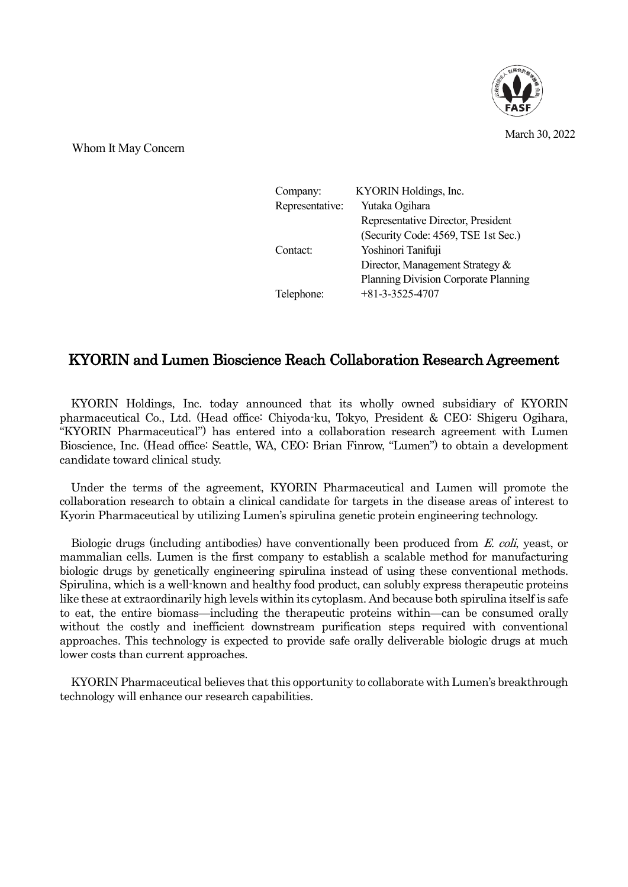

March 30, 2022

Whom It May Concern

| Company:        | KYORIN Holdings, Inc.                |
|-----------------|--------------------------------------|
| Representative: | Yutaka Ogihara                       |
|                 | Representative Director, President   |
|                 | (Security Code: 4569, TSE 1st Sec.)  |
| Contact:        | Yoshinori Tanifuji                   |
|                 | Director, Management Strategy &      |
|                 | Planning Division Corporate Planning |
| Telephone:      | $+81-3-3525-4707$                    |

## KYORIN and Lumen Bioscience Reach Collaboration Research Agreement

KYORIN Holdings, Inc. today announced that its wholly owned subsidiary of KYORIN pharmaceutical Co., Ltd. (Head office: Chiyoda-ku, Tokyo, President & CEO: Shigeru Ogihara, "KYORIN Pharmaceutical") has entered into a collaboration research agreement with Lumen Bioscience, Inc. (Head office: Seattle, WA, CEO: Brian Finrow, "Lumen") to obtain a development candidate toward clinical study.

Under the terms of the agreement, KYORIN Pharmaceutical and Lumen will promote the collaboration research to obtain a clinical candidate for targets in the disease areas of interest to Kyorin Pharmaceutical by utilizing Lumen's spirulina genetic protein engineering technology.

Biologic drugs (including antibodies) have conventionally been produced from E. coli, yeast, or mammalian cells. Lumen is the first company to establish a scalable method for manufacturing biologic drugs by genetically engineering spirulina instead of using these conventional methods. Spirulina, which is a well-known and healthy food product, can solubly express therapeutic proteins like these at extraordinarily high levels within its cytoplasm. And because both spirulina itself is safe to eat, the entire biomass—including the therapeutic proteins within—can be consumed orally without the costly and inefficient downstream purification steps required with conventional approaches. This technology is expected to provide safe orally deliverable biologic drugs at much lower costs than current approaches.

KYORIN Pharmaceutical believes that this opportunity to collaborate with Lumen's breakthrough technology will enhance our research capabilities.